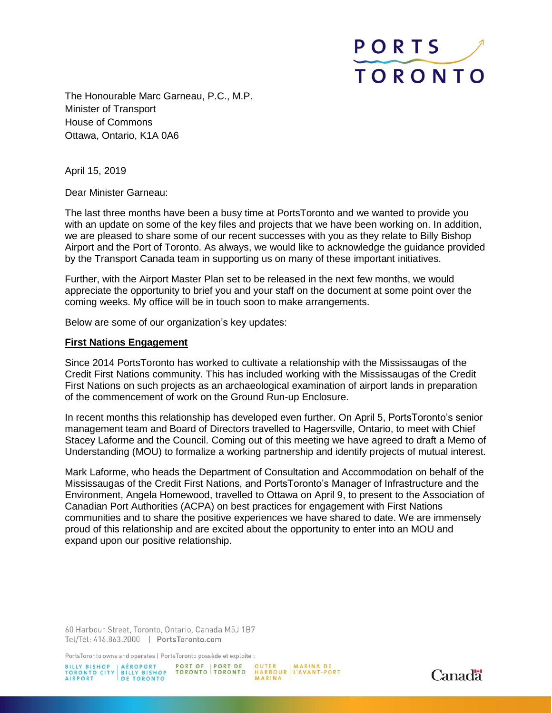

The Honourable Marc Garneau, P.C., M.P. Minister of Transport House of Commons Ottawa, Ontario, K1A 0A6

April 15, 2019

Dear Minister Garneau:

The last three months have been a busy time at PortsToronto and we wanted to provide you with an update on some of the key files and projects that we have been working on. In addition, we are pleased to share some of our recent successes with you as they relate to Billy Bishop Airport and the Port of Toronto. As always, we would like to acknowledge the guidance provided by the Transport Canada team in supporting us on many of these important initiatives.

Further, with the Airport Master Plan set to be released in the next few months, we would appreciate the opportunity to brief you and your staff on the document at some point over the coming weeks. My office will be in touch soon to make arrangements.

Below are some of our organization's key updates:

#### **First Nations Engagement**

Since 2014 PortsToronto has worked to cultivate a relationship with the Mississaugas of the Credit First Nations community. This has included working with the Mississaugas of the Credit First Nations on such projects as an archaeological examination of airport lands in preparation of the commencement of work on the Ground Run-up Enclosure.

In recent months this relationship has developed even further. On April 5, PortsToronto's senior management team and Board of Directors travelled to Hagersville, Ontario, to meet with Chief Stacey Laforme and the Council. Coming out of this meeting we have agreed to draft a Memo of Understanding (MOU) to formalize a working partnership and identify projects of mutual interest.

Mark Laforme, who heads the Department of Consultation and Accommodation on behalf of the Mississaugas of the Credit First Nations, and PortsToronto's Manager of Infrastructure and the Environment, Angela Homewood, travelled to Ottawa on April 9, to present to the Association of Canadian Port Authorities (ACPA) on best practices for engagement with First Nations communities and to share the positive experiences we have shared to date. We are immensely proud of this relationship and are excited about the opportunity to enter into an MOU and expand upon our positive relationship.

60 Harbour Street, Toronto, Ontario, Canada M5J 1B7 Tel/Tél: 416.863.2000 | PortsToronto.com

PortsToronto owns and operates | PortsToronto possède et exploite :

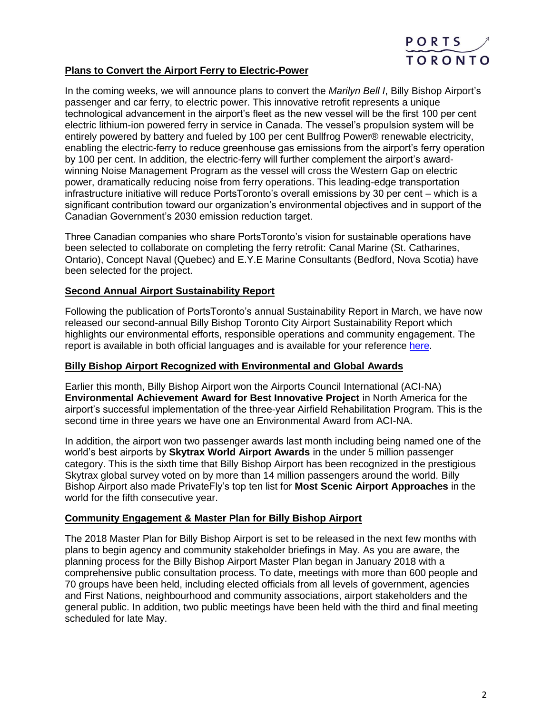

# **Plans to Convert the Airport Ferry to Electric-Power**

In the coming weeks, we will announce plans to convert the *Marilyn Bell I*, Billy Bishop Airport's passenger and car ferry, to electric power. This innovative retrofit represents a unique technological advancement in the airport's fleet as the new vessel will be the first 100 per cent electric lithium-ion powered ferry in service in Canada. The vessel's propulsion system will be entirely powered by battery and fueled by 100 per cent Bullfrog Power® renewable electricity, enabling the electric-ferry to reduce greenhouse gas emissions from the airport's ferry operation by 100 per cent. In addition, the electric-ferry will further complement the airport's awardwinning Noise Management Program as the vessel will cross the Western Gap on electric power, dramatically reducing noise from ferry operations. This leading-edge transportation infrastructure initiative will reduce PortsToronto's overall emissions by 30 per cent – which is a significant contribution toward our organization's environmental objectives and in support of the Canadian Government's 2030 emission reduction target.

Three Canadian companies who share PortsToronto's vision for sustainable operations have been selected to collaborate on completing the ferry retrofit: Canal Marine (St. Catharines, Ontario), Concept Naval (Quebec) and E.Y.E Marine Consultants (Bedford, Nova Scotia) have been selected for the project.

## **Second Annual Airport Sustainability Report**

Following the publication of PortsToronto's annual Sustainability Report in March, we have now released our second-annual Billy Bishop Toronto City Airport Sustainability Report which highlights our environmental efforts, responsible operations and community engagement. The report is available in both official languages and is available for your reference [here.](https://www.portstoronto.com/Media/PortsToronto/PortsToronto/Airport%20Sustainability/l%E2%80%99Aeroport-Billy-Bishop-de-Toronto-Rapport-sur-la-durabilite-2018.pdf)

### **Billy Bishop Airport Recognized with Environmental and Global Awards**

Earlier this month, Billy Bishop Airport won the Airports Council International (ACI-NA) **Environmental Achievement Award for Best Innovative Project** in North America for the airport's successful implementation of the three-year Airfield Rehabilitation Program. This is the second time in three years we have one an Environmental Award from ACI-NA.

In addition, the airport won two passenger awards last month including being named one of the world's best airports by **Skytrax World Airport Awards** in the under 5 million passenger category. This is the sixth time that Billy Bishop Airport has been recognized in the prestigious Skytrax global survey voted on by more than 14 million passengers around the world. Billy Bishop Airport also made PrivateFly's top ten list for **Most Scenic Airport Approaches** in the world for the fifth consecutive year.

### **Community Engagement & Master Plan for Billy Bishop Airport**

The 2018 Master Plan for Billy Bishop Airport is set to be released in the next few months with plans to begin agency and community stakeholder briefings in May. As you are aware, the planning process for the Billy Bishop Airport Master Plan began in January 2018 with a comprehensive public consultation process. To date, meetings with more than 600 people and 70 groups have been held, including elected officials from all levels of government, agencies and First Nations, neighbourhood and community associations, airport stakeholders and the general public. In addition, two public meetings have been held with the third and final meeting scheduled for late May.